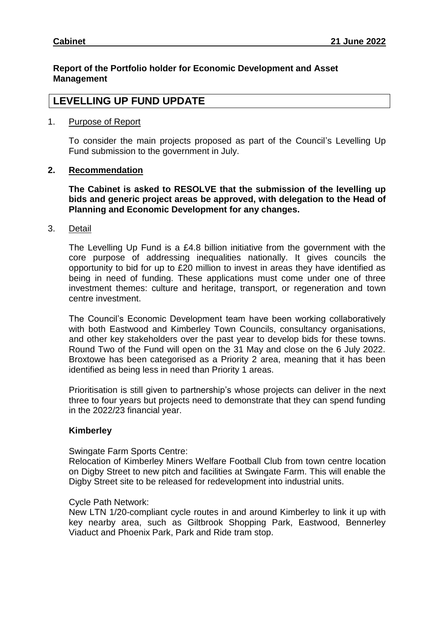## **Report of the Portfolio holder for Economic Development and Asset Management**

# **LEVELLING UP FUND UPDATE**

#### 1. Purpose of Report

To consider the main projects proposed as part of the Council's Levelling Up Fund submission to the government in July.

## **2. Recommendation**

**The Cabinet is asked to RESOLVE that the submission of the levelling up bids and generic project areas be approved, with delegation to the Head of Planning and Economic Development for any changes.** 

3. Detail

The Levelling Up Fund is a £4.8 billion initiative from the government with the core purpose of addressing inequalities nationally. It gives councils the opportunity to bid for up to £20 million to invest in areas they have identified as being in need of funding. These applications must come under one of three investment themes: culture and heritage, transport, or regeneration and town centre investment.

The Council's Economic Development team have been working collaboratively with both Eastwood and Kimberley Town Councils, consultancy organisations, and other key stakeholders over the past year to develop bids for these towns. Round Two of the Fund will open on the 31 May and close on the 6 July 2022. Broxtowe has been categorised as a Priority 2 area, meaning that it has been identified as being less in need than Priority 1 areas.

Prioritisation is still given to partnership's whose projects can deliver in the next three to four years but projects need to demonstrate that they can spend funding in the 2022/23 financial year.

## **Kimberley**

Swingate Farm Sports Centre:

Relocation of Kimberley Miners Welfare Football Club from town centre location on Digby Street to new pitch and facilities at Swingate Farm. This will enable the Digby Street site to be released for redevelopment into industrial units.

## Cycle Path Network:

New LTN 1/20-compliant cycle routes in and around Kimberley to link it up with key nearby area, such as Giltbrook Shopping Park, Eastwood, Bennerley Viaduct and Phoenix Park, Park and Ride tram stop.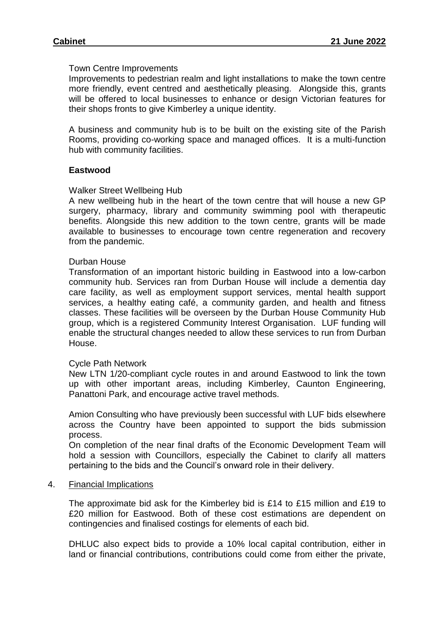### Town Centre Improvements

Improvements to pedestrian realm and light installations to make the town centre more friendly, event centred and aesthetically pleasing. Alongside this, grants will be offered to local businesses to enhance or design Victorian features for their shops fronts to give Kimberley a unique identity.

A business and community hub is to be built on the existing site of the Parish Rooms, providing co-working space and managed offices. It is a multi-function hub with community facilities.

## **Eastwood**

#### Walker Street Wellbeing Hub

A new wellbeing hub in the heart of the town centre that will house a new GP surgery, pharmacy, library and community swimming pool with therapeutic benefits. Alongside this new addition to the town centre, grants will be made available to businesses to encourage town centre regeneration and recovery from the pandemic.

#### Durban House

Transformation of an important historic building in Eastwood into a low-carbon community hub. Services ran from Durban House will include a dementia day care facility, as well as employment support services, mental health support services, a healthy eating café, a community garden, and health and fitness classes. These facilities will be overseen by the Durban House Community Hub group, which is a registered Community Interest Organisation. LUF funding will enable the structural changes needed to allow these services to run from Durban House.

#### Cycle Path Network

New LTN 1/20-compliant cycle routes in and around Eastwood to link the town up with other important areas, including Kimberley, Caunton Engineering, Panattoni Park, and encourage active travel methods.

Amion Consulting who have previously been successful with LUF bids elsewhere across the Country have been appointed to support the bids submission process.

On completion of the near final drafts of the Economic Development Team will hold a session with Councillors, especially the Cabinet to clarify all matters pertaining to the bids and the Council's onward role in their delivery.

#### 4. Financial Implications

The approximate bid ask for the Kimberley bid is £14 to £15 million and £19 to £20 million for Eastwood. Both of these cost estimations are dependent on contingencies and finalised costings for elements of each bid.

DHLUC also expect bids to provide a 10% local capital contribution, either in land or financial contributions, contributions could come from either the private,